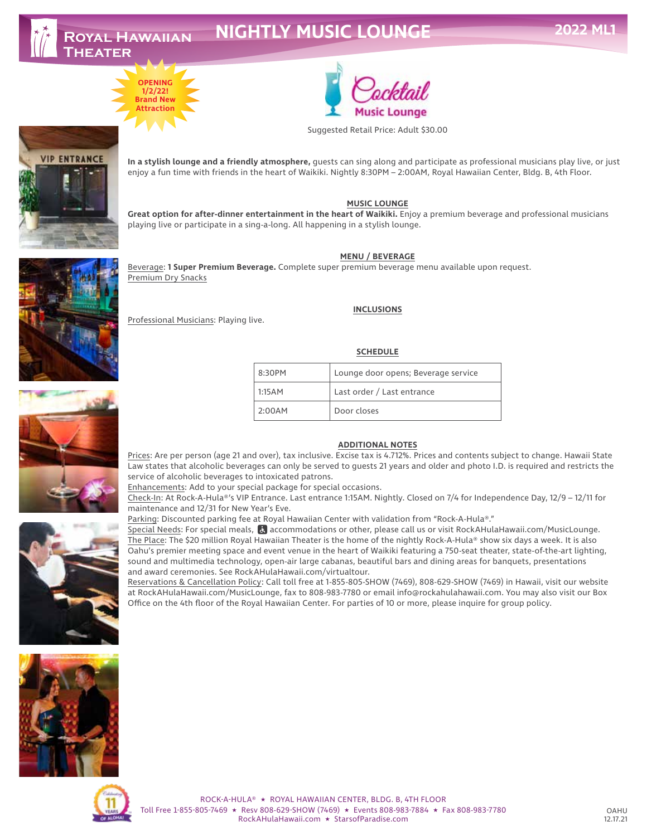# **NIGHTLY MUSIC LOUNGE**





Suggested Retail Price: Adult \$30.00

Music Lounge

**In a stylish lounge and a friendly atmosphere,** guests can sing along and participate as professional musicians play live, or just enjoy a fun time with friends in the heart of Waikiki. Nightly 8:30PM – 2:00AM, Royal Hawaiian Center, Bldg. B, 4th Floor.

#### **MUSIC LOUNGE**

**Great option for after-dinner entertainment in the heart of Waikiki.** Enjoy a premium beverage and professional musicians playing live or participate in a sing-a-long. All happening in a stylish lounge.

#### **MENU / BEVERAGE**

Beverage: **1 Super Premium Beverage.** Complete super premium beverage menu available upon request. Premium Dry Snacks

#### **INCLUSIONS**

Professional Musicians: Playing live.

#### **SCHEDULE**

| 8:30PM | Lounge door opens; Beverage service |
|--------|-------------------------------------|
| 1:15AM | Last order / Last entrance          |
| 2:00AM | Door closes                         |

#### **ADDITIONAL NOTES**

Prices: Are per person (age 21 and over), tax inclusive. Excise tax is 4.712%. Prices and contents subject to change. Hawaii State Law states that alcoholic beverages can only be served to guests 21 years and older and photo I.D. is required and restricts the service of alcoholic beverages to intoxicated patrons.

Enhancements: Add to your special package for special occasions.

Check-In: At Rock-A-Hula®'s VIP Entrance. Last entrance 1:15AM. Nightly. Closed on 7/4 for Independence Day, 12/9 – 12/11 for maintenance and 12/31 for New Year's Eve.

Parking: Discounted parking fee at Royal Hawaiian Center with validation from "Rock-A-Hula®."

Special Needs: For special meals, accommodations or other, please call us or visit RockAHulaHawaii.com/MusicLounge. The Place: The \$20 million Royal Hawaiian Theater is the home of the nightly Rock-A-Hula® show six days a week. It is also Oahu's premier meeting space and event venue in the heart of Waikiki featuring a 750-seat theater, state-of-the-art lighting, sound and multimedia technology, open-air large cabanas, beautiful bars and dining areas for banquets, presentations and award ceremonies. See RockAHulaHawaii.com/virtualtour.

Reservations & Cancellation Policy: Call toll free at 1-855-805-SHOW (7469), 808-629-SHOW (7469) in Hawaii, visit our website at RockAHulaHawaii.com/MusicLounge, fax to 808-983-7780 or email info@rockahulahawaii.com. You may also visit our Box Office on the 4th floor of the Royal Hawaiian Center. For parties of 10 or more, please inquire for group policy.



ROCK-A-HULA® ★ ROYAL HAWAIIAN CENTER, BLDG. B, 4TH FLOOR Toll Free 1-855-805-7469 ★ Resv 808-629-SHOW (7469) ★ Events 808-983-7884 ★ Fax 808-983-7780 RockAHulaHawaii.com ★ StarsofParadise.com